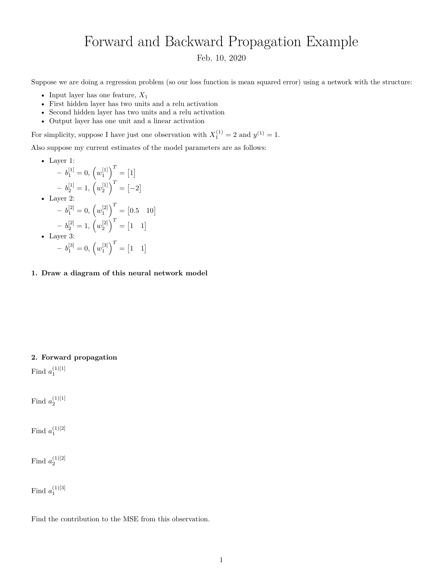## Forward and Backward Propagation Example

Feb. 10, 2020

Suppose we are doing a regression problem (so our loss function is mean squared error) using a network with the structure:

- Input layer has one feature, *X*<sup>1</sup>
- First hidden layer has two units and a relu activation
- Second hidden layer has two units and a relu activation
- Output layer has one unit and a linear activation

For simplicity, suppose I have just one observation with  $X_1^{(1)} = 2$  and  $y^{(1)} = 1$ .

Also suppose my current estimates of the model parameters are as follows:

- Layer 1:  $-\ b_1^{[1]} = 0, \ \left(w_1^{[1]}\right)^T = [1]$  $-\ b_2^{[1]} = 1, \ \left(w_2^{[1]}\right)^T = [-2]$ • Layer 2:  $\mathbf{b}_1^{[2]} = 0, \left(w_1^{[2]}\right)^T = \begin{bmatrix} 0.5 & 10 \end{bmatrix}$  $-\ b_2^{[2]} = 1, \left(w_2^{[2]}\right)^T = \begin{bmatrix} 1 & 1 \end{bmatrix}$ • Layer 3:  $-\ b_1^{[3]} = 0, \ \left(w_1^{[3]}\right)^T = \begin{bmatrix} 1 & 1 \end{bmatrix}$
- **1. Draw a diagram of this neural network model**

## **2. Forward propagation**

Find  $a_1^{(1)[1]}$ 

Find  $a_2^{(1)[1]}$ 

Find  $a_1^{(1)[2]}$ 

Find  $a_2^{(1)[2]}$ 

Find  $a_1^{(1)[3]}$ 

Find the contribution to the MSE from this observation.